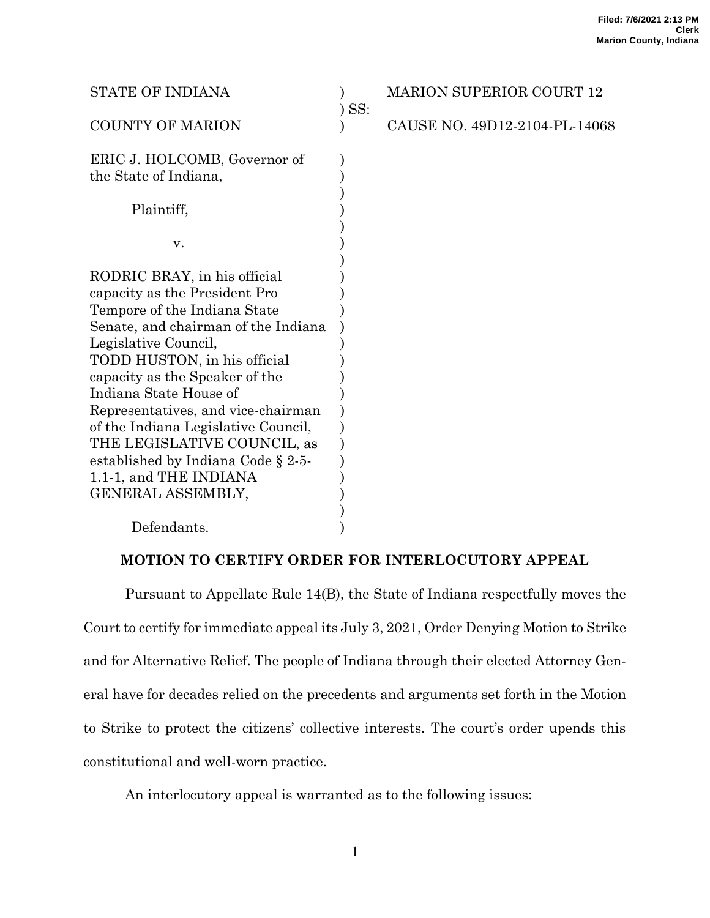| <b>STATE OF INDIANA</b>              | $)$ SS: | <b>MARION SUPERIOR COURT 12</b> |
|--------------------------------------|---------|---------------------------------|
| <b>COUNTY OF MARION</b>              |         | CAUSE NO. 49D12-2104-PL-14068   |
| ERIC J. HOLCOMB, Governor of         |         |                                 |
| the State of Indiana,                |         |                                 |
|                                      |         |                                 |
| Plaintiff,                           |         |                                 |
|                                      |         |                                 |
| v.                                   |         |                                 |
|                                      |         |                                 |
| RODRIC BRAY, in his official         |         |                                 |
| capacity as the President Pro        |         |                                 |
| Tempore of the Indiana State         |         |                                 |
| Senate, and chairman of the Indiana  |         |                                 |
| Legislative Council,                 |         |                                 |
| TODD HUSTON, in his official         |         |                                 |
| capacity as the Speaker of the       |         |                                 |
| Indiana State House of               |         |                                 |
| Representatives, and vice-chairman   |         |                                 |
| of the Indiana Legislative Council,  |         |                                 |
| THE LEGISLATIVE COUNCIL, as          |         |                                 |
| established by Indiana Code $\S 2-5$ |         |                                 |
| 1.1-1, and THE INDIANA               |         |                                 |
| GENERAL ASSEMBLY,                    |         |                                 |
|                                      |         |                                 |
| Defendants.                          |         |                                 |

# **MOTION TO CERTIFY ORDER FOR INTERLOCUTORY APPEAL**

Pursuant to Appellate Rule 14(B), the State of Indiana respectfully moves the Court to certify for immediate appeal its July 3, 2021, Order Denying Motion to Strike and for Alternative Relief. The people of Indiana through their elected Attorney General have for decades relied on the precedents and arguments set forth in the Motion to Strike to protect the citizens' collective interests. The court's order upends this constitutional and well-worn practice.

An interlocutory appeal is warranted as to the following issues: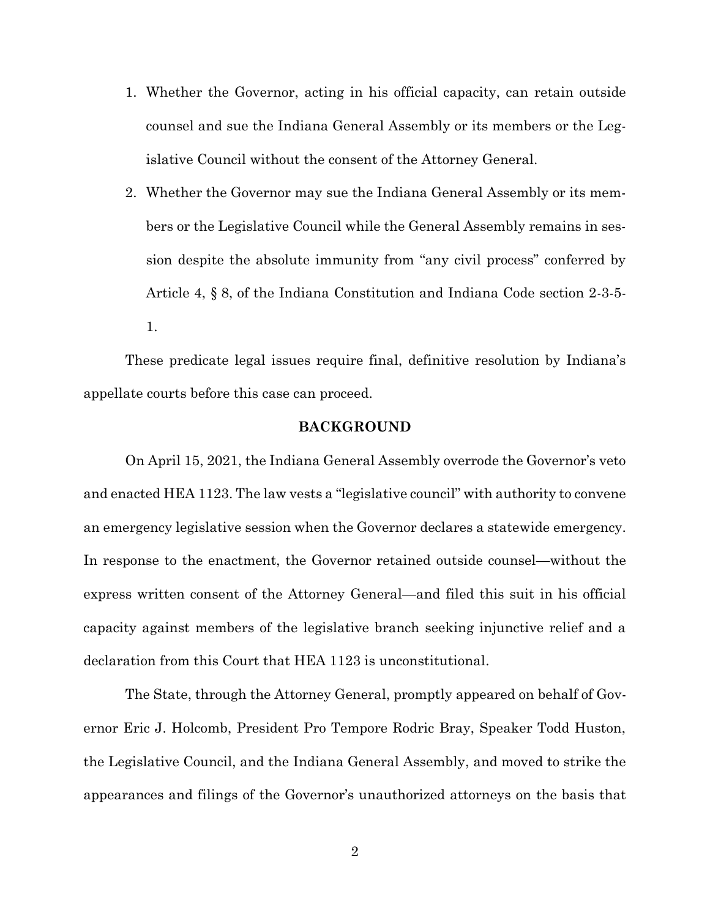- 1. Whether the Governor, acting in his official capacity, can retain outside counsel and sue the Indiana General Assembly or its members or the Legislative Council without the consent of the Attorney General.
- 2. Whether the Governor may sue the Indiana General Assembly or its members or the Legislative Council while the General Assembly remains in session despite the absolute immunity from "any civil process" conferred by Article 4, § 8, of the Indiana Constitution and Indiana Code section 2-3-5- 1.

These predicate legal issues require final, definitive resolution by Indiana's appellate courts before this case can proceed.

## **BACKGROUND**

On April 15, 2021, the Indiana General Assembly overrode the Governor's veto and enacted HEA 1123. The law vests a "legislative council" with authority to convene an emergency legislative session when the Governor declares a statewide emergency. In response to the enactment, the Governor retained outside counsel—without the express written consent of the Attorney General—and filed this suit in his official capacity against members of the legislative branch seeking injunctive relief and a declaration from this Court that HEA 1123 is unconstitutional.

The State, through the Attorney General, promptly appeared on behalf of Governor Eric J. Holcomb, President Pro Tempore Rodric Bray, Speaker Todd Huston, the Legislative Council, and the Indiana General Assembly, and moved to strike the appearances and filings of the Governor's unauthorized attorneys on the basis that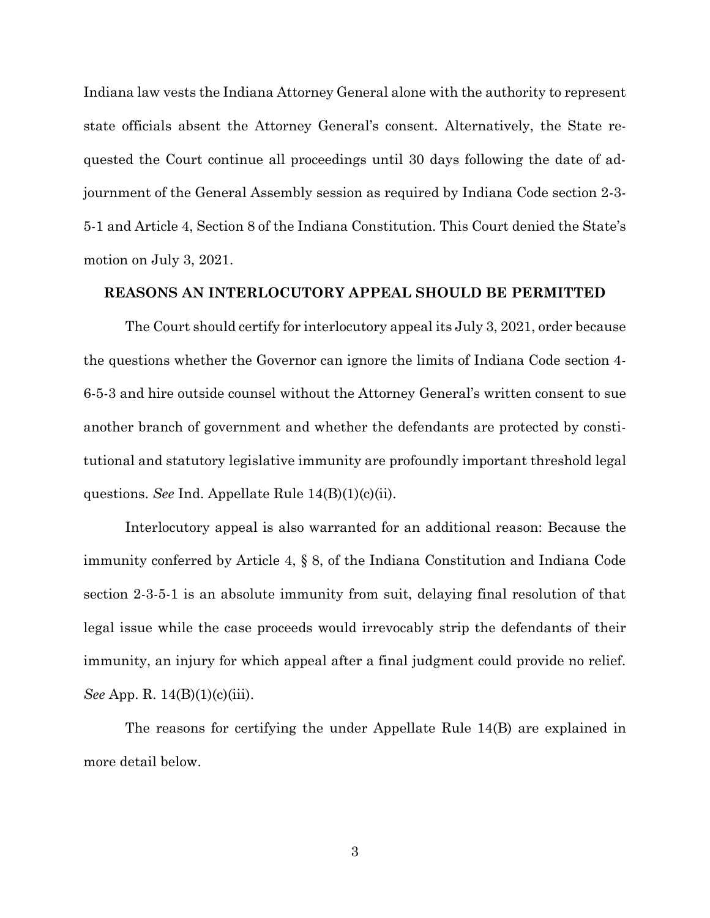Indiana law vests the Indiana Attorney General alone with the authority to represent state officials absent the Attorney General's consent. Alternatively, the State requested the Court continue all proceedings until 30 days following the date of adjournment of the General Assembly session as required by Indiana Code section 2-3- 5-1 and Article 4, Section 8 of the Indiana Constitution. This Court denied the State's motion on July 3, 2021.

## **REASONS AN INTERLOCUTORY APPEAL SHOULD BE PERMITTED**

The Court should certify for interlocutory appeal its July 3, 2021, order because the questions whether the Governor can ignore the limits of Indiana Code section 4- 6-5-3 and hire outside counsel without the Attorney General's written consent to sue another branch of government and whether the defendants are protected by constitutional and statutory legislative immunity are profoundly important threshold legal questions. *See* Ind. Appellate Rule 14(B)(1)(c)(ii).

Interlocutory appeal is also warranted for an additional reason: Because the immunity conferred by Article 4, § 8, of the Indiana Constitution and Indiana Code section 2-3-5-1 is an absolute immunity from suit, delaying final resolution of that legal issue while the case proceeds would irrevocably strip the defendants of their immunity, an injury for which appeal after a final judgment could provide no relief. *See* App. R. 14(B)(1)(c)(iii).

The reasons for certifying the under Appellate Rule 14(B) are explained in more detail below.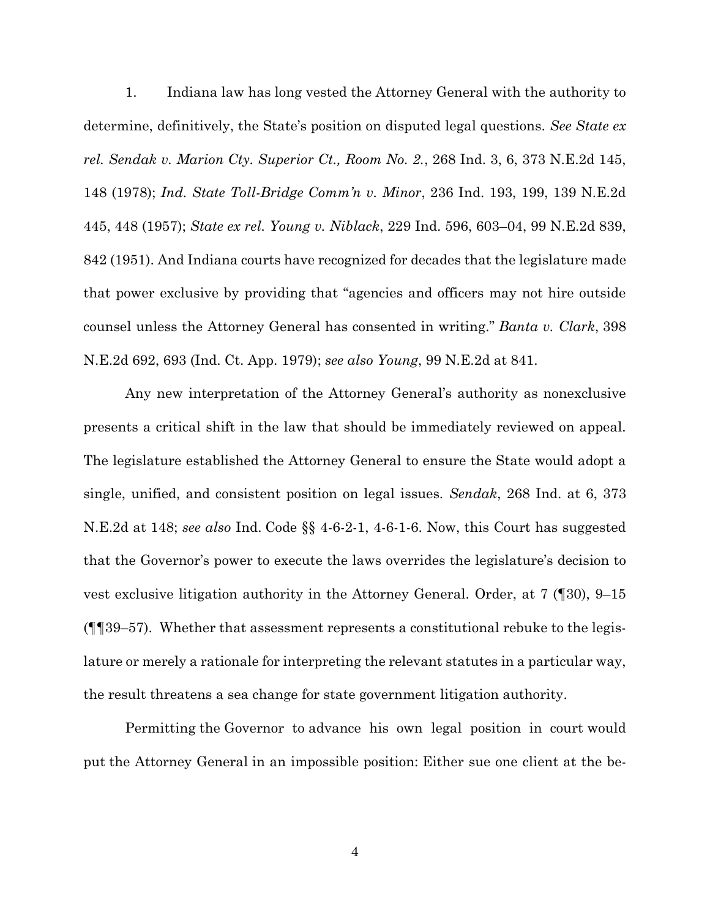1. Indiana law has long vested the Attorney General with the authority to determine, definitively, the State's position on disputed legal questions. *See State ex rel. Sendak v. Marion Cty. Superior Ct., Room No. 2.*, 268 Ind. 3, 6, 373 N.E.2d 145, 148 (1978); *Ind. State Toll-Bridge Comm'n v. Minor*, 236 Ind. 193, 199, 139 N.E.2d 445, 448 (1957); *State ex rel. Young v. Niblack*, 229 Ind. 596, 603–04, 99 N.E.2d 839, 842 (1951). And Indiana courts have recognized for decades that the legislature made that power exclusive by providing that "agencies and officers may not hire outside counsel unless the Attorney General has consented in writing." *Banta v. Clark*, 398 N.E.2d 692, 693 (Ind. Ct. App. 1979); *see also Young*, 99 N.E.2d at 841.

Any new interpretation of the Attorney General's authority as nonexclusive presents a critical shift in the law that should be immediately reviewed on appeal. The legislature established the Attorney General to ensure the State would adopt a single, unified, and consistent position on legal issues. *Sendak*, 268 Ind. at 6, 373 N.E.2d at 148; *see also* Ind. Code §§ 4-6-2-1, 4-6-1-6. Now, this Court has suggested that the Governor's power to execute the laws overrides the legislature's decision to vest exclusive litigation authority in the Attorney General. Order, at 7 (¶30), 9–15 (¶¶39–57). Whether that assessment represents a constitutional rebuke to the legislature or merely a rationale for interpreting the relevant statutes in a particular way, the result threatens a sea change for state government litigation authority.

Permitting the Governor to advance his own legal position in court would put the Attorney General in an impossible position: Either sue one client at the be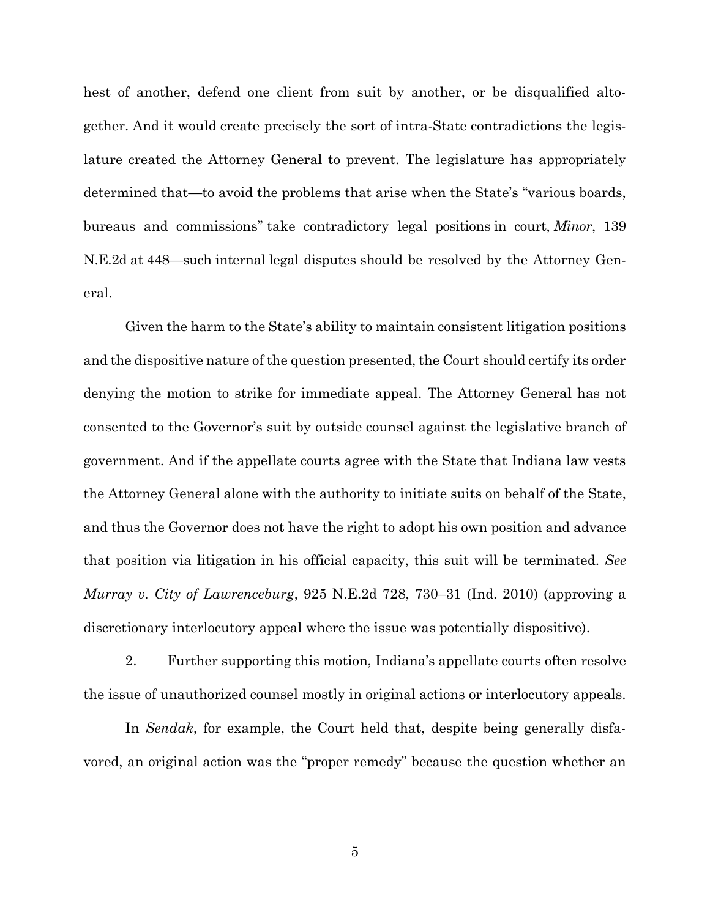hest of another, defend one client from suit by another, or be disqualified altogether. And it would create precisely the sort of intra-State contradictions the legislature created the Attorney General to prevent. The legislature has appropriately determined that—to avoid the problems that arise when the State's "various boards, bureaus and commissions" take contradictory legal positions in court, *Minor*, 139 N.E.2d at 448—such internal legal disputes should be resolved by the Attorney General.

Given the harm to the State's ability to maintain consistent litigation positions and the dispositive nature of the question presented, the Court should certify its order denying the motion to strike for immediate appeal. The Attorney General has not consented to the Governor's suit by outside counsel against the legislative branch of government. And if the appellate courts agree with the State that Indiana law vests the Attorney General alone with the authority to initiate suits on behalf of the State, and thus the Governor does not have the right to adopt his own position and advance that position via litigation in his official capacity, this suit will be terminated. *See Murray v. City of Lawrenceburg*, 925 N.E.2d 728, 730–31 (Ind. 2010) (approving a discretionary interlocutory appeal where the issue was potentially dispositive).

2. Further supporting this motion, Indiana's appellate courts often resolve the issue of unauthorized counsel mostly in original actions or interlocutory appeals.

In *Sendak*, for example, the Court held that, despite being generally disfavored, an original action was the "proper remedy" because the question whether an

5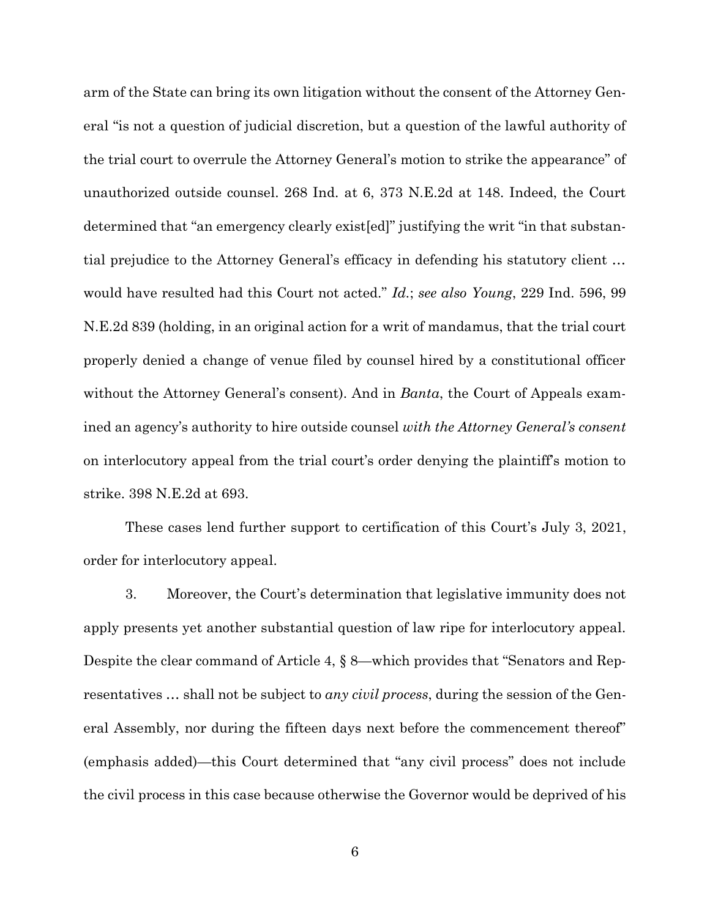arm of the State can bring its own litigation without the consent of the Attorney General "is not a question of judicial discretion, but a question of the lawful authority of the trial court to overrule the Attorney General's motion to strike the appearance" of unauthorized outside counsel. 268 Ind. at 6, 373 N.E.2d at 148. Indeed, the Court determined that "an emergency clearly exist[ed]" justifying the writ "in that substantial prejudice to the Attorney General's efficacy in defending his statutory client … would have resulted had this Court not acted." *Id.*; *see also Young*, 229 Ind. 596, 99 N.E.2d 839 (holding, in an original action for a writ of mandamus, that the trial court properly denied a change of venue filed by counsel hired by a constitutional officer without the Attorney General's consent). And in *Banta*, the Court of Appeals examined an agency's authority to hire outside counsel *with the Attorney General's consent* on interlocutory appeal from the trial court's order denying the plaintiff's motion to strike. 398 N.E.2d at 693.

These cases lend further support to certification of this Court's July 3, 2021, order for interlocutory appeal.

3. Moreover, the Court's determination that legislative immunity does not apply presents yet another substantial question of law ripe for interlocutory appeal. Despite the clear command of Article 4, § 8—which provides that "Senators and Representatives … shall not be subject to *any civil process*, during the session of the General Assembly, nor during the fifteen days next before the commencement thereof" (emphasis added)—this Court determined that "any civil process" does not include the civil process in this case because otherwise the Governor would be deprived of his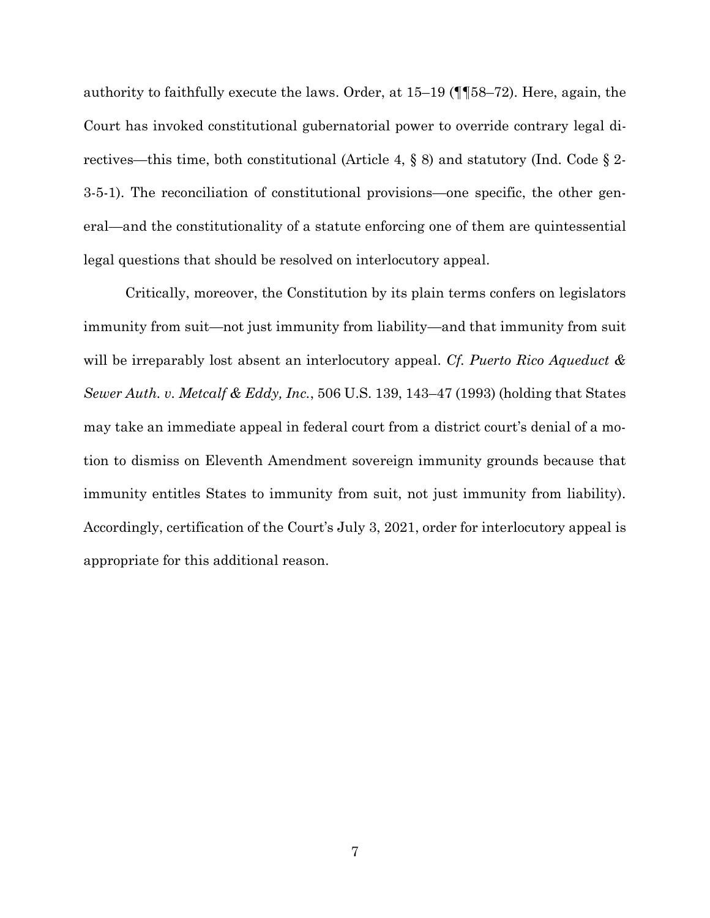authority to faithfully execute the laws. Order, at 15–19 (¶¶58–72). Here, again, the Court has invoked constitutional gubernatorial power to override contrary legal directives—this time, both constitutional (Article 4,  $\S$  8) and statutory (Ind. Code  $\S$  2-3-5-1). The reconciliation of constitutional provisions—one specific, the other general—and the constitutionality of a statute enforcing one of them are quintessential legal questions that should be resolved on interlocutory appeal.

Critically, moreover, the Constitution by its plain terms confers on legislators immunity from suit—not just immunity from liability—and that immunity from suit will be irreparably lost absent an interlocutory appeal. *Cf. Puerto Rico Aqueduct & Sewer Auth. v. Metcalf & Eddy, Inc.*, 506 U.S. 139, 143–47 (1993) (holding that States may take an immediate appeal in federal court from a district court's denial of a motion to dismiss on Eleventh Amendment sovereign immunity grounds because that immunity entitles States to immunity from suit, not just immunity from liability). Accordingly, certification of the Court's July 3, 2021, order for interlocutory appeal is appropriate for this additional reason.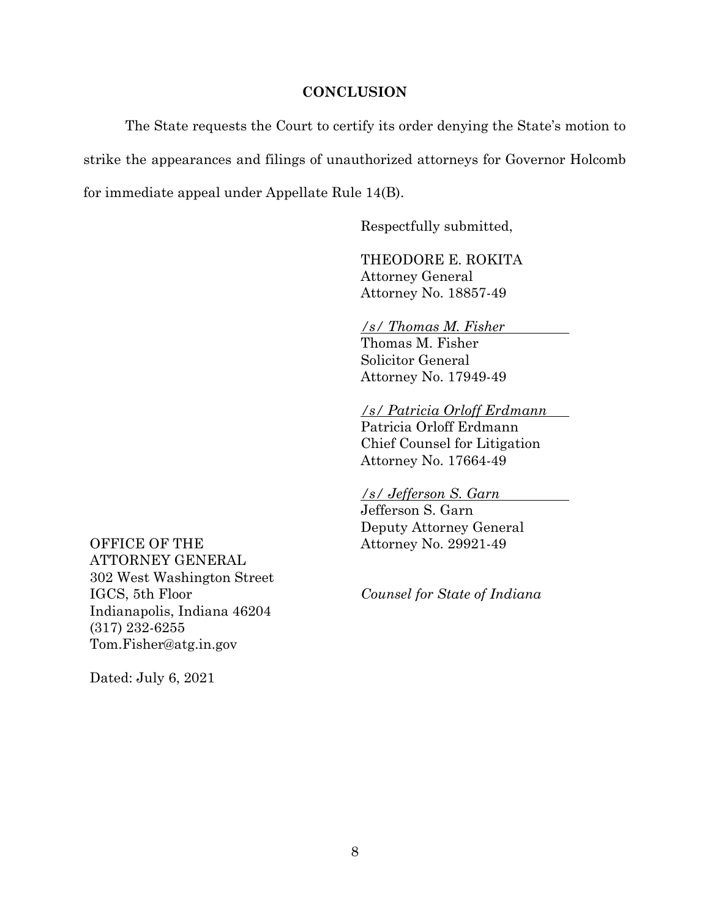#### **CONCLUSION**

The State requests the Court to certify its order denying the State's motion to strike the appearances and filings of unauthorized attorneys for Governor Holcomb for immediate appeal under Appellate Rule 14(B).

Respectfully submitted,

THEODORE E. ROKITA Attorney General Attorney No. 18857-49

## */s/ Thomas M. Fisher*

Thomas M. Fisher Solicitor General Attorney No. 17949-49

*/s/ Patricia Orloff Erdmann*

Patricia Orloff Erdmann Chief Counsel for Litigation Attorney No. 17664-49

*/s/ Jefferson S. Garn*

Jefferson S. Garn Deputy Attorney General Attorney No. 29921-49

*Counsel for State of Indiana*

OFFICE OF THE ATTORNEY GENERAL 302 West Washington Street IGCS, 5th Floor Indianapolis, Indiana 46204 (317) 232-6255 Tom.Fisher@atg.in.gov

Dated: July 6, 2021